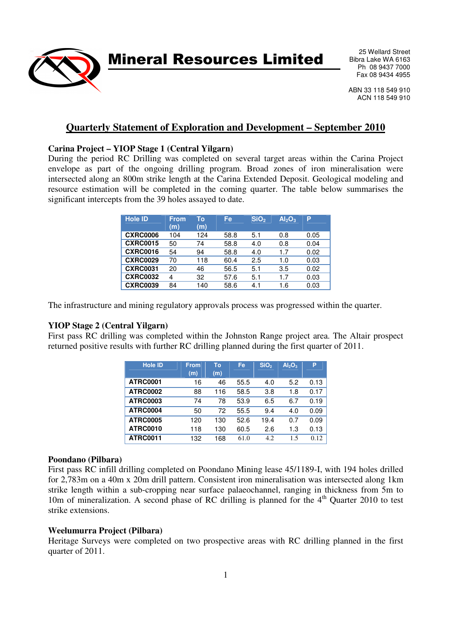Mineral Resources Limited

25 Wellard Street Bibra Lake WA 6163 Ph 08 9437 7000 Fax 08 9434 4955

ABN 33 118 549 910 ACN 118 549 910

# **Quarterly Statement of Exploration and Development – September 2010**

### **Carina Project – YIOP Stage 1 (Central Yilgarn)**

During the period RC Drilling was completed on several target areas within the Carina Project envelope as part of the ongoing drilling program. Broad zones of iron mineralisation were intersected along an 800m strike length at the Carina Extended Deposit. Geological modeling and resource estimation will be completed in the coming quarter. The table below summarises the significant intercepts from the 39 holes assayed to date.

| <b>Hole ID</b>  | <b>From</b><br>(m) | To<br>(m) | Fe   | SiO <sub>2</sub> | Al <sub>2</sub> O <sub>3</sub> | P    |
|-----------------|--------------------|-----------|------|------------------|--------------------------------|------|
| <b>CXRC0006</b> | 104                | 124       | 58.8 | 5.1              | 0.8                            | 0.05 |
| <b>CXRC0015</b> | 50                 | 74        | 58.8 | 4.0              | 0.8                            | 0.04 |
| <b>CXRC0016</b> | 54                 | 94        | 58.8 | 4.0              | 1.7                            | 0.02 |
| <b>CXRC0029</b> | 70                 | 118       | 60.4 | 2.5              | 1.0                            | 0.03 |
| <b>CXRC0031</b> | 20                 | 46        | 56.5 | 5.1              | 3.5                            | 0.02 |
| <b>CXRC0032</b> | 4                  | 32        | 57.6 | 5.1              | 1.7                            | 0.03 |
| <b>CXRC0039</b> | 84                 | 140       | 58.6 | 4.1              | 1.6                            | 0.03 |

The infrastructure and mining regulatory approvals process was progressed within the quarter.

#### **YIOP Stage 2 (Central Yilgarn)**

First pass RC drilling was completed within the Johnston Range project area. The Altair prospect returned positive results with further RC drilling planned during the first quarter of 2011.

| <b>Hole ID</b>  | <b>From</b><br>(m) | To<br>(m) | Fe   | SiO <sub>2</sub> | $Al_2O_3$ | P    |
|-----------------|--------------------|-----------|------|------------------|-----------|------|
| <b>ATRC0001</b> | 16                 | 46        | 55.5 | 4.0              | 5.2       | 0.13 |
| <b>ATRC0002</b> | 88                 | 116       | 58.5 | 3.8              | 1.8       | 0.17 |
| <b>ATRC0003</b> | 74                 | 78        | 53.9 | 6.5              | 6.7       | 0.19 |
| <b>ATRC0004</b> | 50                 | 72        | 55.5 | 9.4              | 4.0       | 0.09 |
| <b>ATRC0005</b> | 120                | 130       | 52.6 | 19.4             | 0.7       | 0.09 |
| <b>ATRC0010</b> | 118                | 130       | 60.5 | 2.6              | 1.3       | 0.13 |
| ATRC0011        | 132                | 168       | 61.0 | 4.2              | 1.5       | 0.12 |

#### **Poondano (Pilbara)**

First pass RC infill drilling completed on Poondano Mining lease 45/1189-I, with 194 holes drilled for 2,783m on a 40m x 20m drill pattern. Consistent iron mineralisation was intersected along 1km strike length within a sub-cropping near surface palaeochannel, ranging in thickness from 5m to 10m of mineralization. A second phase of RC drilling is planned for the  $4<sup>th</sup>$  Quarter 2010 to test strike extensions.

#### **Weelumurra Project (Pilbara)**

Heritage Surveys were completed on two prospective areas with RC drilling planned in the first quarter of 2011.